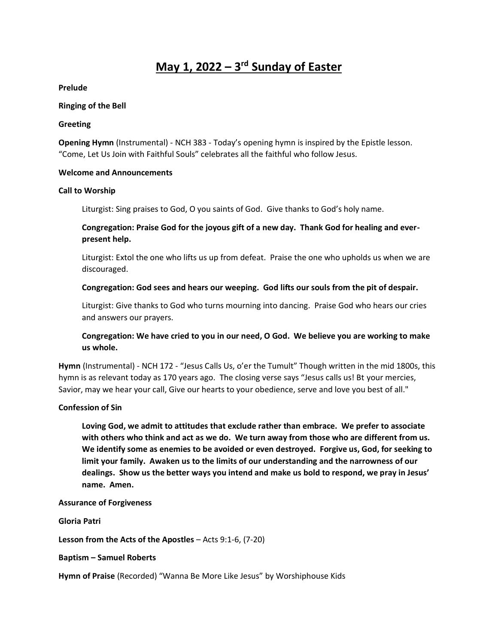# **May 1, 2022 – 3 rd Sunday of Easter**

**Prelude**

#### **Ringing of the Bell**

#### **Greeting**

**Opening Hymn** (Instrumental) - NCH 383 - Today's opening hymn is inspired by the Epistle lesson. "Come, Let Us Join with Faithful Souls" celebrates all the faithful who follow Jesus.

# **Welcome and Announcements**

# **Call to Worship**

Liturgist: Sing praises to God, O you saints of God. Give thanks to God's holy name.

# **Congregation: Praise God for the joyous gift of a new day. Thank God for healing and everpresent help.**

Liturgist: Extol the one who lifts us up from defeat. Praise the one who upholds us when we are discouraged.

# **Congregation: God sees and hears our weeping. God lifts our souls from the pit of despair.**

Liturgist: Give thanks to God who turns mourning into dancing. Praise God who hears our cries and answers our prayers.

# **Congregation: We have cried to you in our need, O God. We believe you are working to make us whole.**

**Hymn** (Instrumental) - NCH 172 - "Jesus Calls Us, o'er the Tumult" Though written in the mid 1800s, this hymn is as relevant today as 170 years ago. The closing verse says "Jesus calls us! Bt your mercies, Savior, may we hear your call, Give our hearts to your obedience, serve and love you best of all."

# **Confession of Sin**

**Loving God, we admit to attitudes that exclude rather than embrace. We prefer to associate with others who think and act as we do. We turn away from those who are different from us. We identify some as enemies to be avoided or even destroyed. Forgive us, God, for seeking to limit your family. Awaken us to the limits of our understanding and the narrowness of our dealings. Show us the better ways you intend and make us bold to respond, we pray in Jesus' name. Amen.** 

#### **Assurance of Forgiveness**

**Gloria Patri**

**Lesson from the Acts of the Apostles** – Acts 9:1-6, (7-20)

**Baptism – Samuel Roberts**

**Hymn of Praise** (Recorded) "Wanna Be More Like Jesus" by Worshiphouse Kids